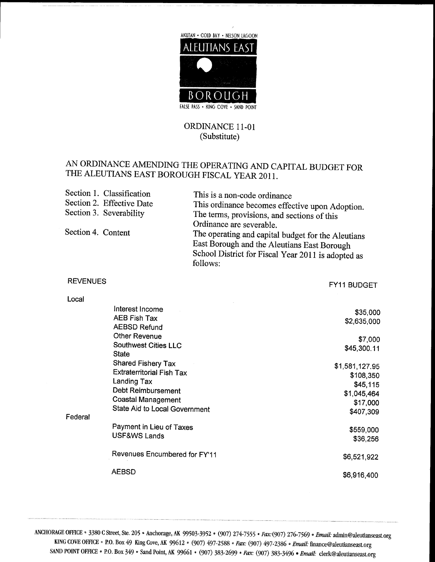

## ORDINANCE 11-01 (Substitute)

## AN ORDINANCE AMENDING THE OPERATING AND CAPITAL BUDGET FOR THE ALEUTIANS EAST BOROUGH FISCAL YEAR 2011

| Section 1. Classification | This is a non-code ordinance                                                                                                                                                                    |
|---------------------------|-------------------------------------------------------------------------------------------------------------------------------------------------------------------------------------------------|
| Section 2. Effective Date | This ordinance becomes effective upon Adoption.                                                                                                                                                 |
| Section 3. Severability   | The terms, provisions, and sections of this                                                                                                                                                     |
| Section 4. Content        | Ordinance are severable.<br>The operating and capital budget for the Aleutians<br>East Borough and the Aleutians East Borough<br>School District for Fiscal Year 2011 is adopted as<br>follows: |

REVENUES FOR THE SERVER OF THE SERVER OF THE SERVER OF THE SERVER OF THE SERVER OF THE SERVER OF THE SERVER OF THE SERVER OF THE SERVER OF THE SERVER OF THE SERVER OF THE SERVER OF THE SERVER OF THE SERVER OF THE SERVER OF

| <b>REVENUES</b> |                                  | FY11 BUDGET    |
|-----------------|----------------------------------|----------------|
| Local           |                                  |                |
|                 | Interest Income                  | \$35,000       |
|                 | <b>AEB Fish Tax</b>              | \$2,635,000    |
|                 | <b>AEBSD Refund</b>              |                |
|                 | <b>Other Revenue</b>             | \$7,000        |
|                 | <b>Southwest Cities LLC</b>      | \$45,300.11    |
|                 | <b>State</b>                     |                |
|                 | Shared Fishery Tax               | \$1,581,127.95 |
|                 | <b>Extraterritorial Fish Tax</b> | \$108,350      |
|                 | Landing Tax                      | \$45,115       |
|                 | Debt Reimbursement               | \$1,045,464    |
|                 | <b>Coastal Management</b>        | \$17,000       |
| Federal         | State Aid to Local Government    | \$407,309      |
|                 | Payment in Lieu of Taxes         | \$559,000      |
|                 | USF&WS Lands                     | \$36,256       |
|                 | Revenues Encumbered for FY'11    |                |
|                 |                                  | \$6,521,922    |
|                 | <b>AEBSD</b>                     | \$6,916,400    |
|                 |                                  |                |

ANCHORAGE OFFICE \* 3380 C Street, Ste. 205 \* Anchorage, AK 99503-3952 \* (907) 274-7555 \* Fax: (907) 276-7569 \* Email: KING COVE OFFICE \* P.O. Box 49 King Cove, AK 99612 \* (907) 497-2588 \* Pax: (907) 497-2386 \* Email www.www.www.www.www.www.www.ww<br>admin@aleutianseast.org<br>aleutianseast.org SAND POINT OFFICE • P.O. Box 349 • Sand Point, AK # Final: admin@aleutians<br># Finance@aleutianseast.org<br># finance@aleutianseast.org<br># clerk@aleutianseast.org K 99503-3952 • (907) 274-7555 • *Fax*: (907) 276-7569 • *Email*: admin@aleutianse<br>112 • (907) 497-2588 *• Fax*: (907) 497-2386 • *Email:* finance@aleutianseast.org<br>99661 • (907) 383-2699 • *Fax*: (907) 383-3496 • *Email: c*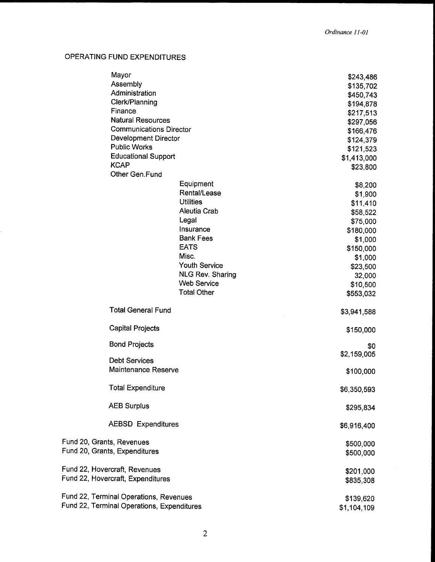## OPERATING FUND EXPENDITURES

| Mayor                                      |                         | \$243,486              |
|--------------------------------------------|-------------------------|------------------------|
| Assembly                                   |                         | \$135,702              |
| Administration                             |                         | \$450,743              |
| Clerk/Planning                             |                         | \$194,878              |
| Finance                                    |                         | \$217,513              |
| <b>Natural Resources</b>                   |                         | \$297,056              |
| <b>Communications Director</b>             |                         | \$166,476              |
| Development Director                       |                         | \$124,379              |
| <b>Public Works</b>                        |                         | \$121,523              |
| <b>Educational Support</b><br><b>KCAP</b>  |                         | \$1,413,000            |
| Other Gen.Fund                             |                         | \$23,800               |
|                                            | Equipment               |                        |
|                                            | Rental/Lease            | \$8,200<br>\$1,900     |
|                                            | <b>Utilities</b>        | \$11,410               |
|                                            | Aleutia Crab            | \$58,522               |
|                                            | Legal                   | \$75,000               |
|                                            | Insurance               | \$180,000              |
|                                            | <b>Bank Fees</b>        | \$1,000                |
|                                            | <b>EATS</b>             | \$150,000              |
|                                            | Misc.                   | \$1,000                |
|                                            | <b>Youth Service</b>    | \$23,500               |
|                                            | <b>NLG Rev. Sharing</b> | 32,000                 |
|                                            | <b>Web Service</b>      | \$10,500               |
|                                            | <b>Total Other</b>      | \$553,032              |
| <b>Total General Fund</b>                  |                         | \$3,941,588            |
| <b>Capital Projects</b>                    |                         | \$150,000              |
| <b>Bond Projects</b>                       |                         | \$0                    |
|                                            |                         | \$2,159,005            |
| <b>Debt Services</b>                       |                         |                        |
| <b>Maintenance Reserve</b>                 |                         | \$100,000              |
| <b>Total Expenditure</b>                   |                         | \$6,350,593            |
| <b>AEB Surplus</b>                         |                         | \$295,834              |
| <b>AEBSD Expenditures</b>                  |                         | \$6,916,400            |
| Fund 20, Grants, Revenues                  |                         |                        |
| Fund 20, Grants, Expenditures              |                         | \$500,000<br>\$500,000 |
| Fund 22, Hovercraft, Revenues              |                         |                        |
| Fund 22, Hovercraft, Expenditures          |                         | \$201,000<br>\$835,308 |
|                                            |                         |                        |
| Fund 22, Terminal Operations, Revenues     |                         | \$139,620              |
| Fund 22, Terminal Operations, Expenditures |                         | \$1,104,109            |
|                                            |                         |                        |
|                                            |                         |                        |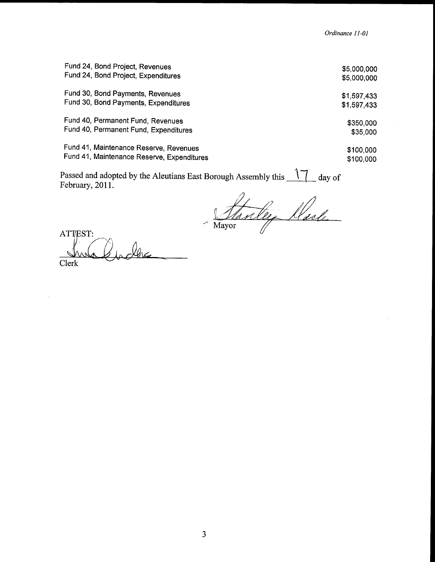|                                            | Ordinance 11-01 |
|--------------------------------------------|-----------------|
| Fund 24, Bond Project, Revenues            | \$5,000,000     |
| Fund 24, Bond Project, Expenditures        | \$5,000,000     |
| Fund 30, Bond Payments, Revenues           | \$1,597,433     |
| Fund 30, Bond Payments, Expenditures       | \$1,597,433     |
| Fund 40, Permanent Fund, Revenues          | \$350,000       |
| Fund 40, Permanent Fund, Expenditures      | \$35,000        |
| Fund 41, Maintenance Reserve, Revenues     | \$100,000       |
| Fund 41, Maintenance Reserve, Expenditures | \$100,000       |

Passed and adopted by the Aleutians East Borough Assembly this  $\frac{17}{4}$  day of February, 2011.

Stanley Nach

ATTEST: Clerk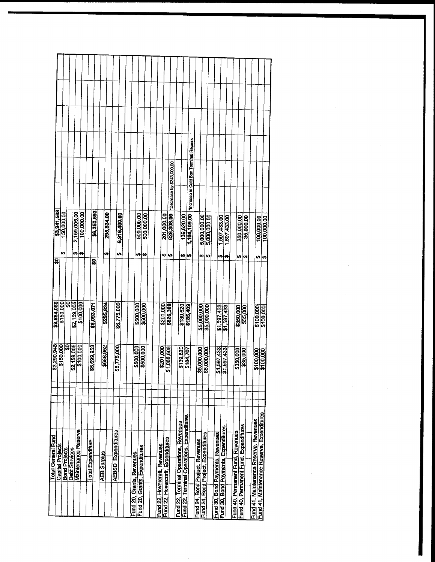| ន្ល<br>\$150,000<br>\$2,159,005<br>\$100,000<br>\$295,834<br>\$6,775,000<br>\$6,093,071<br>\$500,000<br>\$201,000<br>\$826,308<br>\$139,620<br>\$185,409<br>\$5,000,000<br>\$1,597,433<br>\$350,000<br>\$150,000<br>ន្ត្<br>\$2,159,005<br>\$5,699,953<br>\$688,952<br>\$6,775,000<br>\$500,000<br>\$7,068,606<br>\$139,620<br>\$184,707<br>\$5,000,000<br>1,597,433<br>\$1,597,433<br>\$350,000<br>\$35,000 |             |
|--------------------------------------------------------------------------------------------------------------------------------------------------------------------------------------------------------------------------------------------------------------------------------------------------------------------------------------------------------------------------------------------------------------|-------------|
|                                                                                                                                                                                                                                                                                                                                                                                                              | \$3,684.066 |
|                                                                                                                                                                                                                                                                                                                                                                                                              | \$3,290,948 |

 $\mathcal{L}(\mathcal{A})$  and  $\mathcal{L}(\mathcal{A})$ 

 $\label{eq:2.1} \frac{1}{\sqrt{2}}\int_{\mathbb{R}^3}\frac{1}{\sqrt{2}}\left(\frac{1}{\sqrt{2}}\right)^2\frac{1}{\sqrt{2}}\left(\frac{1}{\sqrt{2}}\right)^2\frac{1}{\sqrt{2}}\left(\frac{1}{\sqrt{2}}\right)^2\frac{1}{\sqrt{2}}\left(\frac{1}{\sqrt{2}}\right)^2.$ 

 $\mathcal{L}(\mathcal{L}^{\mathcal{L}})$  and  $\mathcal{L}^{\mathcal{L}}$  and  $\mathcal{L}^{\mathcal{L}}$ 

 $\label{eq:2.1} \frac{1}{\sqrt{2}}\int_{\mathbb{R}^3}\frac{1}{\sqrt{2}}\left(\frac{1}{\sqrt{2}}\right)^2\frac{1}{\sqrt{2}}\left(\frac{1}{\sqrt{2}}\right)^2\frac{1}{\sqrt{2}}\left(\frac{1}{\sqrt{2}}\right)^2\frac{1}{\sqrt{2}}\left(\frac{1}{\sqrt{2}}\right)^2.$ 

 $\label{eq:2.1} \frac{1}{\sqrt{2}}\left(\frac{1}{\sqrt{2}}\right)^{2} \left(\frac{1}{\sqrt{2}}\right)^{2} \left(\frac{1}{\sqrt{2}}\right)^{2} \left(\frac{1}{\sqrt{2}}\right)^{2} \left(\frac{1}{\sqrt{2}}\right)^{2} \left(\frac{1}{\sqrt{2}}\right)^{2} \left(\frac{1}{\sqrt{2}}\right)^{2} \left(\frac{1}{\sqrt{2}}\right)^{2} \left(\frac{1}{\sqrt{2}}\right)^{2} \left(\frac{1}{\sqrt{2}}\right)^{2} \left(\frac{1}{\sqrt{2}}\right)^{2} \left(\$ 

 $\mathcal{L}^{\text{max}}_{\text{max}}$  and  $\mathcal{L}^{\text{max}}_{\text{max}}$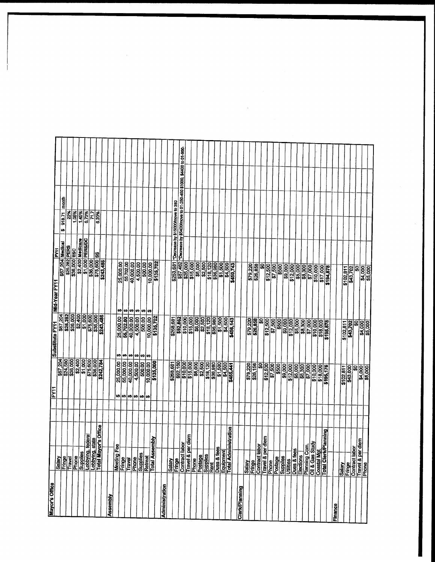| Mayor's Office        |                                                                                   | FY1                   |                       | Substitute FY11                           |                         |                                     |                                              |       |                                                                             |
|-----------------------|-----------------------------------------------------------------------------------|-----------------------|-----------------------|-------------------------------------------|-------------------------|-------------------------------------|----------------------------------------------|-------|-----------------------------------------------------------------------------|
|                       |                                                                                   |                       | \$67,204              |                                           | Mid-Year FY11           | Ě                                   |                                              |       |                                                                             |
|                       |                                                                                   |                       |                       | \$67,204                                  |                         | \$67,204 Medical                    | 918.71<br>t,                                 | month |                                                                             |
|                       | <b>Salay</b><br>Elimen                                                            |                       | \$24,580              | \$25,282                                  |                         | \$25,282 PERS                       | 22%                                          |       |                                                                             |
|                       | Phone<br>Supplies<br>Lobbying, federal<br>Lobbying, state<br>Lotal Mayor's Office |                       |                       | \$36,000                                  |                         | \$36,000 ESC                        | 1.05%                                        |       |                                                                             |
|                       |                                                                                   |                       | \$2,400               | 32,400<br>\$1,000                         |                         |                                     | 1.45%                                        |       |                                                                             |
|                       |                                                                                   |                       | \$1,000               |                                           |                         | \$2,400 Medicare<br>\$1,000 PERS/DC | 6.73%                                        |       |                                                                             |
|                       |                                                                                   |                       | \$75,600              | \$75,600                                  |                         | \$36,000<br>\$75,600 SS             | 717                                          |       |                                                                             |
|                       |                                                                                   |                       |                       | \$36,000                                  |                         |                                     | 6.20%                                        |       |                                                                             |
|                       |                                                                                   |                       | \$242,784             | \$243,486                                 | \$243,486               |                                     |                                              |       |                                                                             |
| Assembly              |                                                                                   |                       |                       |                                           |                         |                                     |                                              |       |                                                                             |
|                       | Fee<br>Meeting                                                                    | ₩                     | 25,000.00             | ₩                                         |                         |                                     |                                              |       |                                                                             |
|                       | Fringe<br>Travel                                                                  |                       | 55,000.00             | 25,000.00<br>55,702.00<br>40,000.00<br>u, | 25,000.00<br>Ø          |                                     |                                              |       |                                                                             |
|                       |                                                                                   |                       | 40,000.00             | H                                         | 55,702.00<br>Ø)         |                                     |                                              |       |                                                                             |
|                       | Phone                                                                             |                       | 4,500.00              | 4,500.00                                  | 40,000.00<br>W<br>∣⇔    |                                     |                                              |       |                                                                             |
|                       |                                                                                   | <b>ဗာ</b> ဗာ ဗာ ဗာ ဗာ | 500,00                | 500.00                                    | 4,500.00<br>500.00<br>₩ |                                     |                                              |       |                                                                             |
|                       | Supplies<br>Retreat<br>Total Assembly                                             |                       | 10,000.00             | ဖာတဖေ                                     | 10,000.00<br>H          |                                     |                                              |       |                                                                             |
|                       |                                                                                   |                       | \$135,000             | 10,000.00                                 | \$135,702               |                                     |                                              |       |                                                                             |
| <b>Administration</b> |                                                                                   |                       |                       |                                           |                         |                                     |                                              |       |                                                                             |
|                       | Salary                                                                            |                       |                       |                                           |                         |                                     |                                              |       |                                                                             |
|                       | Fringe                                                                            |                       | \$268,681             | \$268,681                                 |                         |                                     | \$253,681   *Decrease by \$15000/move to 380 |       |                                                                             |
|                       | <b>Rabor</b>                                                                      |                       | \$92,160              | \$92,862                                  |                         |                                     |                                              |       | \$87,462 + Decrease by \$54000 move to 01-250-450 \$1000, \$4400 to 01-800. |
|                       | per diem<br>Contract<br>Travel &                                                  |                       | \$10,000              | \$10,000                                  |                         |                                     |                                              |       |                                                                             |
|                       |                                                                                   |                       |                       | \$15,000                                  | \$25,000                |                                     |                                              |       |                                                                             |
|                       | <b>Phone</b><br>Postage<br>Supplies                                               |                       | $\frac{1}{22,500}$    | 38,500                                    | <b>18,000</b>           |                                     |                                              |       |                                                                             |
|                       |                                                                                   |                       |                       |                                           |                         |                                     |                                              |       |                                                                             |
|                       |                                                                                   |                       | \$18,120<br>\$36,980  | \$18,120                                  | $\frac{1}{2}$ \$18,120  |                                     |                                              |       |                                                                             |
|                       | Rent<br>Dues & fees                                                               |                       | \$1,500               |                                           |                         |                                     |                                              |       |                                                                             |
|                       |                                                                                   |                       | \$4,500               | 51,500                                    | \$1,500                 |                                     |                                              |       |                                                                             |
|                       | Equipment<br>Total Administration                                                 |                       | \$455,441             | \$4,500<br>\$456,143                      | \$4,500                 |                                     |                                              |       |                                                                             |
|                       |                                                                                   |                       |                       |                                           | \$450,743               |                                     |                                              |       |                                                                             |
| Clerk/Planning        |                                                                                   |                       |                       |                                           |                         |                                     |                                              |       |                                                                             |
|                       | Salary                                                                            |                       | \$79,220              | \$79.220                                  |                         |                                     |                                              |       |                                                                             |
|                       | Fringe                                                                            |                       | \$26,156              | \$26,858                                  | \$79,220                |                                     |                                              |       |                                                                             |
|                       | labor<br><b>Contract</b>                                                          |                       | န္တ                   | \$O,                                      | g                       |                                     |                                              |       |                                                                             |
|                       | per diem<br>Travel & J<br>Phone                                                   |                       | \$12,500              | \$12,500                                  | \$12,500                |                                     |                                              |       |                                                                             |
|                       | Postage                                                                           |                       | \$7,500               | \$7,500                                   | \$7,500                 |                                     |                                              |       |                                                                             |
|                       |                                                                                   |                       | \$500                 | \$500                                     | \$500                   |                                     |                                              |       |                                                                             |
|                       |                                                                                   |                       | \$9,000               | \$9,000                                   | \$9,000                 |                                     |                                              |       |                                                                             |
|                       | Supplies<br>Utilities<br>Dues & fees                                              |                       |                       | \$12,000                                  | \$12,000                |                                     |                                              |       |                                                                             |
|                       | Elections                                                                         |                       | \$12,000              | \$5,000                                   | \$5,000                 |                                     |                                              |       |                                                                             |
|                       | Planning Com.                                                                     |                       |                       |                                           | \$8,300                 |                                     |                                              |       |                                                                             |
|                       |                                                                                   |                       | \$7,000<br>\$10,000   | \$7,000                                   | \$7,000                 |                                     |                                              |       |                                                                             |
|                       |                                                                                   |                       |                       | \$10,000                                  | \$10,000                |                                     |                                              |       |                                                                             |
|                       | Oil & Gas Study<br>Coastal Mgt<br>Total Clerk/Planning                            |                       | \$18,000<br>\$195,176 | \$18,000<br>\$195,878                     | \$17,000                |                                     |                                              |       |                                                                             |
|                       |                                                                                   |                       |                       |                                           | \$194,878               |                                     |                                              |       |                                                                             |
| Finance               |                                                                                   |                       |                       |                                           |                         |                                     |                                              |       |                                                                             |
|                       | Salary                                                                            |                       | 5102,811              | \$102,811                                 | \$102,811               |                                     |                                              |       |                                                                             |
|                       | Fringe                                                                            |                       | \$43,000              | \$43,702                                  | \$43,702                |                                     |                                              |       |                                                                             |
|                       | Contract labor                                                                    |                       | န္တ                   | S                                         | B                       |                                     |                                              |       |                                                                             |
|                       | Travel & per diem<br>Phone                                                        |                       | 84,000                | \$4,000                                   | \$4,000                 |                                     |                                              |       |                                                                             |
|                       |                                                                                   |                       |                       |                                           |                         |                                     |                                              |       |                                                                             |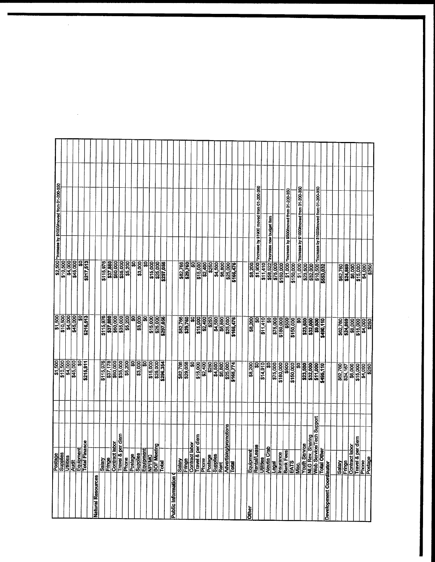|                           | Postage                                                                                                |                                                                                                                        | \$1,500                    |                             |                                      |                                                                   |  |
|---------------------------|--------------------------------------------------------------------------------------------------------|------------------------------------------------------------------------------------------------------------------------|----------------------------|-----------------------------|--------------------------------------|-------------------------------------------------------------------|--|
|                           | 3                                                                                                      |                                                                                                                        | \$10,500                   | \$1,500                     | \$10,500                             | \$2,500   "Increase by \$1000/moved from 01-200-350               |  |
|                           | <b>Supples</b>                                                                                         |                                                                                                                        | \$4,000                    | \$4,000                     | \$4,000                              |                                                                   |  |
|                           | <b>Audit</b>                                                                                           |                                                                                                                        | \$45,000                   | \$45,000                    | \$45,000                             |                                                                   |  |
|                           |                                                                                                        |                                                                                                                        | န္တြ                       | ន្ល                         | ន្ត                                  |                                                                   |  |
|                           | Finance<br>Equipment<br>Total Finan                                                                    |                                                                                                                        | \$215,811                  | \$216,513                   | \$217,513                            |                                                                   |  |
|                           |                                                                                                        |                                                                                                                        |                            |                             |                                      |                                                                   |  |
| <b>Natural Resources</b>  |                                                                                                        |                                                                                                                        |                            |                             |                                      |                                                                   |  |
|                           | Salary<br>Fringe                                                                                       |                                                                                                                        | \$115,976                  | \$115,976                   | \$115,976                            |                                                                   |  |
|                           |                                                                                                        |                                                                                                                        | \$37,178                   | \$37,880                    | 337,880                              |                                                                   |  |
|                           | <b>assis</b><br>Contra                                                                                 |                                                                                                                        |                            | \$60,000                    |                                      |                                                                   |  |
|                           | Travel                                                                                                 | & per diem                                                                                                             | \$60,000                   | \$35,000                    |                                      |                                                                   |  |
|                           | Phone                                                                                                  |                                                                                                                        | \$5,200                    | \$5,200                     | \$5,200                              |                                                                   |  |
|                           | Postag                                                                                                 |                                                                                                                        | \$O                        | ន្ល                         |                                      |                                                                   |  |
|                           |                                                                                                        |                                                                                                                        | \$3,000                    | \$3,000                     | <b>80008</b>                         |                                                                   |  |
|                           | Postage<br>Supplies<br>Equipment<br>RPFMC                                                              |                                                                                                                        | ន្ល                        | g                           | ຊູ                                   |                                                                   |  |
|                           |                                                                                                        |                                                                                                                        |                            |                             | \$15,000                             |                                                                   |  |
|                           | <b>BOF Meeting</b>                                                                                     |                                                                                                                        | $\frac{$15,000}{$225,000}$ | \$15,000                    |                                      |                                                                   |  |
|                           | Total                                                                                                  |                                                                                                                        | \$296,354                  | \$297,056                   | \$25,000<br>\$297,056                |                                                                   |  |
| <b>Public Information</b> |                                                                                                        |                                                                                                                        |                            |                             |                                      |                                                                   |  |
|                           | Salary                                                                                                 |                                                                                                                        |                            |                             |                                      |                                                                   |  |
|                           |                                                                                                        |                                                                                                                        | \$82,766                   | \$82,766                    | \$82,766                             |                                                                   |  |
|                           |                                                                                                        |                                                                                                                        | \$29,058                   |                             |                                      |                                                                   |  |
|                           | <b>ict labor</b>                                                                                       |                                                                                                                        | ິສ                         | SQ                          | န္တ                                  |                                                                   |  |
|                           | & per diem<br><b>Engel</b><br>Contract<br>Phone                                                        |                                                                                                                        | \$15,000<br>\$2,400        | \$15,000                    | \$15,000                             |                                                                   |  |
|                           |                                                                                                        |                                                                                                                        |                            | \$2,400                     | \$2,400                              |                                                                   |  |
|                           | $\begin{array}{c}\n\hline\n\text{edge} \\ \hline\n\text{Supplies} \\ \hline\n\text{Reif}\n\end{array}$ |                                                                                                                        | \$250                      | \$250                       | \$250                                |                                                                   |  |
|                           |                                                                                                        |                                                                                                                        | \$4,500<br>\$6,800         | \$4,500                     | \$4,500                              |                                                                   |  |
|                           |                                                                                                        |                                                                                                                        |                            | \$6,800                     | \$6,800                              |                                                                   |  |
|                           | <b>Adverti</b>                                                                                         | sing/promotions                                                                                                        | \$25,000                   | \$25,000                    |                                      |                                                                   |  |
|                           | <b>Total</b>                                                                                           |                                                                                                                        | \$165,774                  |                             | \$25,000<br>\$166,476                |                                                                   |  |
|                           |                                                                                                        |                                                                                                                        |                            |                             |                                      |                                                                   |  |
|                           |                                                                                                        |                                                                                                                        |                            |                             |                                      |                                                                   |  |
| <b>Other</b>              | Equipment                                                                                              |                                                                                                                        | \$8,200                    | \$8,200                     | \$8,200                              |                                                                   |  |
|                           | Lease                                                                                                  |                                                                                                                        | ន្ល                        |                             |                                      | \$1,900 *increase by \$1900 moved from 01-200-350                 |  |
|                           |                                                                                                        |                                                                                                                        | \$14,910                   | \$11,410                    | \$11,410                             |                                                                   |  |
|                           | ිස<br>උස<br><u> Utilities</u><br> Aleutia<br> Legal                                                    |                                                                                                                        | ន្ល                        | ឝ                           | \$58,522   "Increase new budget Item |                                                                   |  |
|                           |                                                                                                        |                                                                                                                        | \$75,000                   | <b>S75,000</b><br>\$180,000 | \$75,000                             |                                                                   |  |
|                           |                                                                                                        |                                                                                                                        | \$180,000                  |                             | \$180,000                            |                                                                   |  |
|                           |                                                                                                        |                                                                                                                        | \$500                      | \$500                       |                                      | \$1,000   "Increase by \$500/moved from 01-200-350                |  |
|                           |                                                                                                        |                                                                                                                        | \$150,000                  | \$150,000                   | \$150,000                            |                                                                   |  |
|                           |                                                                                                        | Thisurance<br>Bank Fees<br>Misc.<br>Mula Rev. Sharing<br>Mula Rev. Starring<br>Web Service/Texh Support<br>Total Other | ន្ល                        | S                           | \$1,000                              | "Increase by \$1000/moved from 01-200-350                         |  |
|                           |                                                                                                        |                                                                                                                        | \$23,500                   | \$23,500                    | \$23,500                             |                                                                   |  |
|                           |                                                                                                        |                                                                                                                        | \$32,000                   | \$32,000                    | \$32,000                             |                                                                   |  |
|                           |                                                                                                        |                                                                                                                        | \$11,000                   | \$9,500                     |                                      | \$10,500   fincrease by \$1000/moved from 01-200-350<br>\$553,032 |  |
|                           |                                                                                                        |                                                                                                                        | \$495,110                  | \$490,110                   |                                      |                                                                   |  |
| Development Coordinator   |                                                                                                        |                                                                                                                        |                            |                             |                                      |                                                                   |  |
|                           |                                                                                                        |                                                                                                                        |                            |                             |                                      |                                                                   |  |
|                           |                                                                                                        |                                                                                                                        | \$62,760                   | \$62,760                    | \$62,760                             |                                                                   |  |
|                           |                                                                                                        |                                                                                                                        | \$24,167                   | \$24,869                    | \$24,869                             |                                                                   |  |
|                           | Satary<br>Fringe<br>Contract labor<br>Travel & per diem<br>Prostage                                    |                                                                                                                        | \$6,000                    | <b>SB,000</b>               |                                      |                                                                   |  |
|                           |                                                                                                        |                                                                                                                        | \$15,000                   |                             |                                      |                                                                   |  |
|                           |                                                                                                        |                                                                                                                        | \$250<br>\$4,000           | \$4,000<br>\$250            |                                      |                                                                   |  |
|                           |                                                                                                        |                                                                                                                        |                            |                             | $\overline{3250}$                    |                                                                   |  |

 $\bar{\beta}$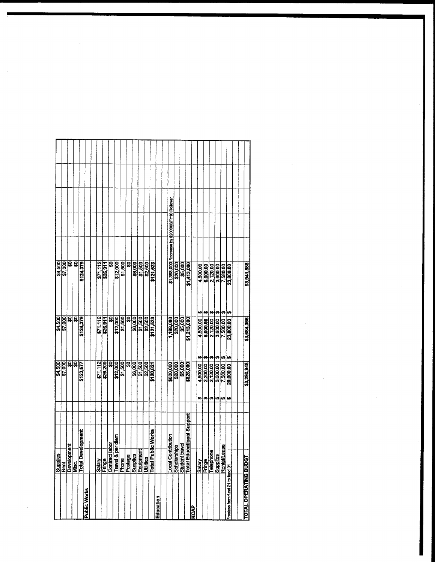|                                 | Supplies<br>   Rent<br>  Development<br>  Total Development<br>  Total Development                                                           |    | \$4,500           | \$4,500                                                                       |                       |                                                 |  |
|---------------------------------|----------------------------------------------------------------------------------------------------------------------------------------------|----|-------------------|-------------------------------------------------------------------------------|-----------------------|-------------------------------------------------|--|
|                                 |                                                                                                                                              |    | \$7,000           | \$7,000                                                                       | \$4,500               |                                                 |  |
|                                 |                                                                                                                                              |    | <u>នន</u> ្ត្រ    | ន្ល                                                                           | द्भ                   |                                                 |  |
|                                 |                                                                                                                                              |    |                   | ြု့                                                                           | ଛ                     |                                                 |  |
|                                 |                                                                                                                                              |    | \$123,677         | \$124,379                                                                     | \$124,379             |                                                 |  |
| <b>Public Works</b>             |                                                                                                                                              |    |                   |                                                                               |                       |                                                 |  |
|                                 |                                                                                                                                              |    |                   |                                                                               |                       |                                                 |  |
|                                 |                                                                                                                                              |    | \$71,112          | \$71,112                                                                      | \$71,112              |                                                 |  |
|                                 |                                                                                                                                              |    | \$26,209          | \$26,911                                                                      | \$26,911              |                                                 |  |
|                                 | <b>labor</b>                                                                                                                                 |    | ន្ធ               | ន្ល                                                                           | ន្ត្                  |                                                 |  |
|                                 | per diem                                                                                                                                     |    | \$12,000          | \$12,000                                                                      | \$12,000              |                                                 |  |
|                                 |                                                                                                                                              |    | \$7,500           | \$1,500                                                                       | \$1,500               |                                                 |  |
|                                 | <u>Salary</u><br>Contract La President Contract President<br>Contract Contract President President<br>Cotal Public President<br>Cotal Public |    | ន្ត               | ធ្ល                                                                           | SO                    |                                                 |  |
|                                 |                                                                                                                                              |    | \$6,000           | \$6,000                                                                       | \$6,000               |                                                 |  |
|                                 |                                                                                                                                              |    | \$1,500           | $\frac{500}{22,500}$                                                          | \$1,500 <br>\$2,500   |                                                 |  |
|                                 |                                                                                                                                              |    | \$2,500           |                                                                               |                       |                                                 |  |
|                                 | bilc Works                                                                                                                                   |    | \$120,821         | \$121,523                                                                     | \$121,523             |                                                 |  |
| Education                       |                                                                                                                                              |    |                   |                                                                               |                       |                                                 |  |
|                                 |                                                                                                                                              |    |                   |                                                                               |                       |                                                 |  |
|                                 | ntribution<br><b>Local Contribute</b><br>Scholarships<br>Student travel<br>Total Educatio                                                    |    | \$800,000         | 1,188,000                                                                     |                       | \$1,388,000 Tincrease by \$200000/FY10 Rollover |  |
|                                 |                                                                                                                                              |    | \$20,000          | \$20,000                                                                      | \$20,000              |                                                 |  |
|                                 | havel                                                                                                                                        |    |                   | \$5,000                                                                       |                       |                                                 |  |
|                                 | ucational Support                                                                                                                            |    | \$5,000           | \$1,213,000                                                                   | \$1,413,000           |                                                 |  |
| <b>KCAP</b>                     |                                                                                                                                              |    |                   |                                                                               |                       |                                                 |  |
|                                 | Salary<br>Fringe<br>Telephone<br>Supplies<br>Rental/Lease                                                                                    | ∽  | ₩<br>4,500.00     | 4,500.00                                                                      | 4,500.00              |                                                 |  |
|                                 |                                                                                                                                              | u  | u<br>2,200.00     | 6,000.00                                                                      | 6,000.00              |                                                 |  |
|                                 |                                                                                                                                              | ₩  | H<br>2,120.00     | $\begin{array}{ c c c c }\n\hline\n2,120,00 & 5 \\ 3,600,00 & 5\n\end{array}$ | $\frac{12000}{25000}$ |                                                 |  |
|                                 |                                                                                                                                              | U) | ⇔<br>3,600.00     |                                                                               |                       |                                                 |  |
|                                 |                                                                                                                                              | H  | Ø<br>7,580.00     | 7,580.00                                                                      | 7,580.00<br>Ø         |                                                 |  |
| reclass from fund 21 to fund 01 |                                                                                                                                              | M  | l en<br>20,000.00 | 23,800.00                                                                     | 23,800.00             |                                                 |  |
|                                 |                                                                                                                                              |    |                   |                                                                               |                       |                                                 |  |
|                                 |                                                                                                                                              |    |                   |                                                                               |                       |                                                 |  |
| TOTAL OPERATING BUDGT           |                                                                                                                                              |    | \$3,290,948       | \$3,684,066                                                                   | \$3,941,588           |                                                 |  |

 $\label{eq:2.1} \mathcal{L}(\mathcal{L}) = \mathcal{L}(\mathcal{L}) \mathcal{L}(\mathcal{L}) \mathcal{L}(\mathcal{L})$ 

 $\mathcal{L}^{\text{max}}_{\text{max}}$  and  $\mathcal{L}^{\text{max}}_{\text{max}}$ 

 $\mathcal{L}_{\mathrm{max}}$